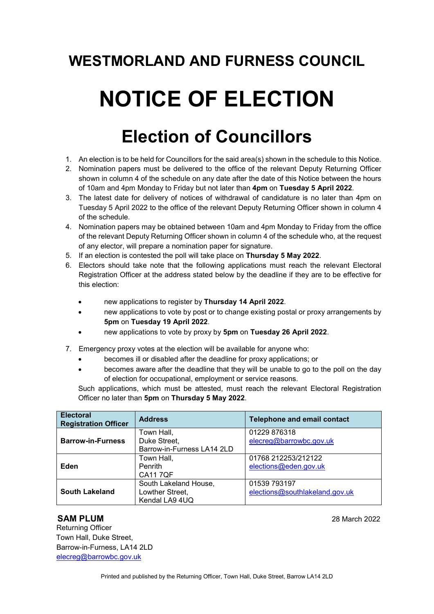### **WESTMORLAND AND FURNESS COUNCIL**

# **NOTICE OF ELECTION**

## **Election of Councillors**

- 1. An election is to be held for Councillors for the said area(s) shown in the schedule to this Notice.
- 2. Nomination papers must be delivered to the office of the relevant Deputy Returning Officer shown in column 4 of the schedule on any date after the date of this Notice between the hours of 10am and 4pm Monday to Friday but not later than **4pm** on **Tuesday 5 April 2022**.
- 3. The latest date for delivery of notices of withdrawal of candidature is no later than 4pm on Tuesday 5 April 2022 to the office of the relevant Deputy Returning Officer shown in column 4 of the schedule.
- 4. Nomination papers may be obtained between 10am and 4pm Monday to Friday from the office of the relevant Deputy Returning Officer shown in column 4 of the schedule who, at the request of any elector, will prepare a nomination paper for signature.
- 5. If an election is contested the poll will take place on **Thursday 5 May 2022**.
- 6. Electors should take note that the following applications must reach the relevant Electoral Registration Officer at the address stated below by the deadline if they are to be effective for this election:
	- new applications to register by **Thursday 14 April 2022**.
	- new applications to vote by post or to change existing postal or proxy arrangements by **5pm** on **Tuesday 19 April 2022**.
	- new applications to vote by proxy by **5pm** on **Tuesday 26 April 2022**.
- 7. Emergency proxy votes at the election will be available for anyone who:
	- becomes ill or disabled after the deadline for proxy applications; or
	- becomes aware after the deadline that they will be unable to go to the poll on the day of election for occupational, employment or service reasons.

Such applications, which must be attested, must reach the relevant Electoral Registration Officer no later than **5pm** on **Thursday 5 May 2022**.

| <b>Electoral</b><br><b>Registration Officer</b> | <b>Address</b>             | <b>Telephone and email contact</b> |
|-------------------------------------------------|----------------------------|------------------------------------|
| <b>Barrow-in-Furness</b>                        | Town Hall,                 | 01229 876318                       |
|                                                 | Duke Street,               | elecreg@barrowbc.gov.uk            |
|                                                 | Barrow-in-Furness LA14 2LD |                                    |
| Eden                                            | Town Hall,                 | 01768 212253/212122                |
|                                                 | <b>Penrith</b>             | elections@eden.gov.uk              |
|                                                 | <b>CA117QF</b>             |                                    |
| <b>South Lakeland</b>                           | South Lakeland House,      | 01539 793197                       |
|                                                 | Lowther Street,            | elections@southlakeland.gov.uk     |
|                                                 | Kendal LA9 4UQ             |                                    |

#### **SAM PLUM 28 March 2022**

 Returning Officer Town Hall, Duke Street, Barrow-in-Furness, LA14 2LD [elecreg@barrowbc.gov.uk](mailto:elecreg@barrowbc.gov.uk)